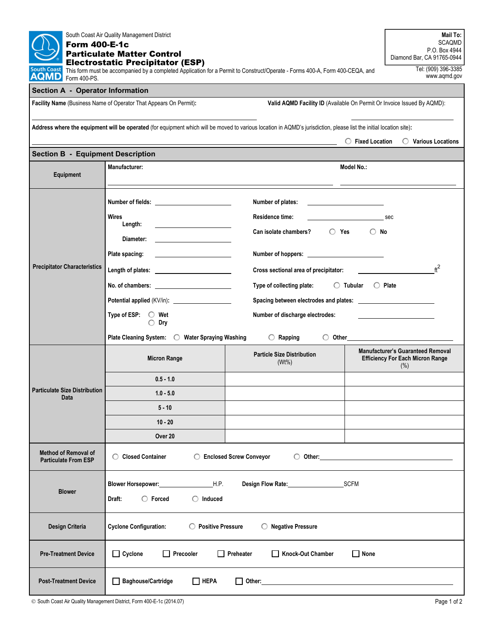| South Coast Air Quality Management District<br><b>Form 400-E-1c</b><br><b>Particulate Matter Control</b><br><b>Electrostatic Precipitator (ESP)</b>                                                                              | Mail To:<br><b>SCAQMD</b><br>P.O. Box 4944<br>Diamond Bar, CA 91765-0944                                                       |                                                                     |                                                                                             |  |  |  |
|----------------------------------------------------------------------------------------------------------------------------------------------------------------------------------------------------------------------------------|--------------------------------------------------------------------------------------------------------------------------------|---------------------------------------------------------------------|---------------------------------------------------------------------------------------------|--|--|--|
| <b>South Coast</b><br>This form must be accompanied by a completed Application for a Permit to Construct/Operate - Forms 400-A, Form 400-CEQA, and<br><b>AQMD</b><br>Form 400-PS                                                 | Tel: (909) 396-3385<br>www.aqmd.gov                                                                                            |                                                                     |                                                                                             |  |  |  |
| <b>Section A - Operator Information</b>                                                                                                                                                                                          |                                                                                                                                |                                                                     |                                                                                             |  |  |  |
| Facility Name (Business Name of Operator That Appears On Permit):<br>Valid AQMD Facility ID (Available On Permit Or Invoice Issued By AQMD):                                                                                     |                                                                                                                                |                                                                     |                                                                                             |  |  |  |
| Address where the equipment will be operated (for equipment which will be moved to various location in AQMD's jurisdiction, please list the initial location site):<br>$\bigcirc$ Various Locations<br>$\bigcirc$ Fixed Location |                                                                                                                                |                                                                     |                                                                                             |  |  |  |
| <b>Section B - Equipment Description</b>                                                                                                                                                                                         |                                                                                                                                |                                                                     |                                                                                             |  |  |  |
| Equipment                                                                                                                                                                                                                        | Manufacturer:                                                                                                                  | Model No.:                                                          |                                                                                             |  |  |  |
|                                                                                                                                                                                                                                  |                                                                                                                                | Number of plates:                                                   |                                                                                             |  |  |  |
|                                                                                                                                                                                                                                  | <b>Wires</b>                                                                                                                   | Residence time:                                                     | sec                                                                                         |  |  |  |
|                                                                                                                                                                                                                                  | Length:<br>Diameter:                                                                                                           | $\bigcirc$ Yes<br>Can isolate chambers?<br>$\bigcirc$ No            |                                                                                             |  |  |  |
|                                                                                                                                                                                                                                  | <b>Contract Contract Contract Contract</b><br>Plate spacing:                                                                   |                                                                     |                                                                                             |  |  |  |
| <b>Precipitator Characteristics</b>                                                                                                                                                                                              |                                                                                                                                | $\mathrm{ft}^2$<br>Cross sectional area of precipitator:            |                                                                                             |  |  |  |
|                                                                                                                                                                                                                                  |                                                                                                                                | $\bigcirc$ Tubular<br>$\bigcirc$ Plate<br>Type of collecting plate: |                                                                                             |  |  |  |
|                                                                                                                                                                                                                                  |                                                                                                                                |                                                                     |                                                                                             |  |  |  |
|                                                                                                                                                                                                                                  | Type of ESP: $\bigcirc$ Wet<br>$\bigcirc$ Dry                                                                                  | Number of discharge electrodes:                                     |                                                                                             |  |  |  |
|                                                                                                                                                                                                                                  | Plate Cleaning System:<br>$\bigcirc$ Water Spraying Washing<br>$\bigcirc$ Other<br>$\bigcirc$ Rapping                          |                                                                     |                                                                                             |  |  |  |
|                                                                                                                                                                                                                                  | <b>Micron Range</b>                                                                                                            | <b>Particle Size Distribution</b><br>$(Wt\%)$                       | <b>Manufacturer's Guaranteed Removal</b><br><b>Efficiency For Each Micron Range</b><br>(% ) |  |  |  |
|                                                                                                                                                                                                                                  | $0.5 - 1.0$                                                                                                                    |                                                                     |                                                                                             |  |  |  |
| <b>Particulate Size Distribution</b><br>Data                                                                                                                                                                                     | $1.0 - 5.0$                                                                                                                    |                                                                     |                                                                                             |  |  |  |
|                                                                                                                                                                                                                                  | $5 - 10$<br>$10 - 20$                                                                                                          |                                                                     |                                                                                             |  |  |  |
|                                                                                                                                                                                                                                  | Over 20                                                                                                                        |                                                                     |                                                                                             |  |  |  |
| <b>Method of Removal of</b><br><b>Particulate From ESP</b>                                                                                                                                                                       | ◯ Closed Container<br>◯ Enclosed Screw Conveyor<br>$\bigcirc$ Other:                                                           |                                                                     |                                                                                             |  |  |  |
| <b>Blower</b>                                                                                                                                                                                                                    | Blower Horsepower: H.P.<br>Design Flow Rate: New York 1997<br><b>SCFM</b><br>$\bigcirc$ Forced<br>Draft:<br>$\bigcirc$ Induced |                                                                     |                                                                                             |  |  |  |
| Design Criteria                                                                                                                                                                                                                  | <b>Cyclone Configuration:</b><br>◯ Positive Pressure<br>$\bigcirc$ Negative Pressure                                           |                                                                     |                                                                                             |  |  |  |
| <b>Pre-Treatment Device</b>                                                                                                                                                                                                      | $\Box$ Cyclone<br>Precooler<br>$\Box$ Preheater<br>Knock-Out Chamber<br>None                                                   |                                                                     |                                                                                             |  |  |  |
| <b>Post-Treatment Device</b>                                                                                                                                                                                                     | $\Box$ HEPA<br><b>Baghouse/Cartridge</b><br>Other:                                                                             |                                                                     |                                                                                             |  |  |  |

South Coast Air Quality Management District, Form 400-E-1c (2014.07)